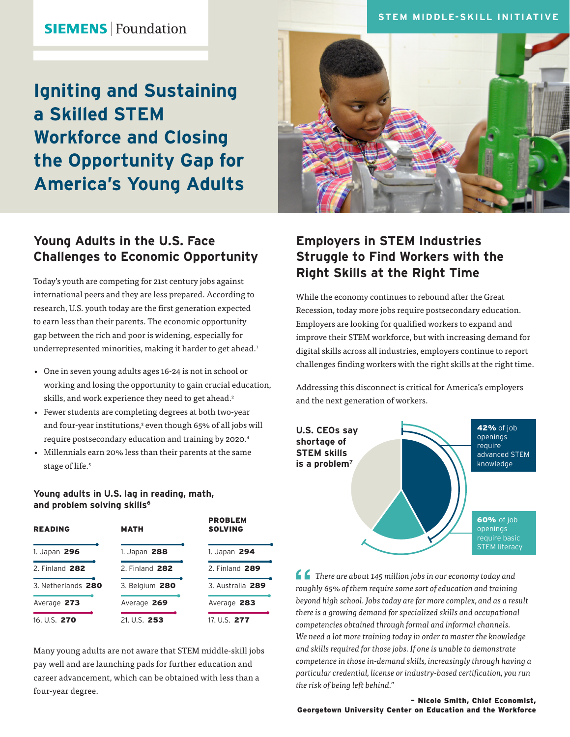### **STEM MIDDLE-SKILL INITIATIVE**

**SIEMENS** Foundation

# **Igniting and Sustaining a Skilled STEM Workforce and Closing the Opportunity Gap for America's Young Adults**

### **Young Adults in the U.S. Face Challenges to Economic Opportunity**

Today's youth are competing for 21st century jobs against international peers and they are less prepared. According to research, U.S. youth today are the first generation expected to earn less than their parents. The economic opportunity gap between the rich and poor is widening, especially for underrepresented minorities, making it harder to get ahead.<sup>1</sup>

- One in seven young adults ages 16-24 is not in school or working and losing the opportunity to gain crucial education, skills, and work experience they need to get ahead.<sup>2</sup>
- Fewer students are completing degrees at both two-year and four-year institutions,<sup>3</sup> even though 65% of all jobs will require postsecondary education and training by 2020.4
- Millennials earn 20% less than their parents at the same stage of life.<sup>5</sup>

## **Employers in STEM Industries Struggle to Find Workers with the Right Skills at the Right Time**

While the economy continues to rebound after the Great Recession, today more jobs require postsecondary education. Employers are looking for qualified workers to expand and improve their STEM workforce, but with increasing demand for digital skills across all industries, employers continue to report challenges finding workers with the right skills at the right time.

Addressing this disconnect is critical for America's employers and the next generation of workers.



*There are about 145 million jobs in our economy today and roughly 65% of them require some sort of education and training beyond high school. Jobs today are far more complex, and as a result there is a growing demand for specialized skills and occupational competencies obtained through formal and informal channels. We need a lot more training today in order to master the knowledge and skills required for those jobs. If one is unable to demonstrate competence in those in-demand skills, increasingly through having a particular credential, license or industry-based certification, you run the risk of being left behind."*

#### – Nicole Smith, Chief Economist, Georgetown University Center on Education and the Workforce

#### **Young adults in U.S. lag in reading, math, and problem solving skills6**

| <b>READING</b>     | <b>MATH</b>    | <b>PROBLEM</b><br><b>SOLVING</b> |
|--------------------|----------------|----------------------------------|
| 1. Japan 296       | 1. Japan 288   | 1. Japan 294                     |
| 2. Finland 282     | 2. Finland 282 | 2. Finland 289                   |
| 3. Netherlands 280 | 3. Belgium 280 | 3. Australia 289                 |
| Average 273        | Average 269    | Average 283                      |
| 16. U.S. 270       | 21. U.S. 253   | 17. U.S. 277                     |

Many young adults are not aware that STEM middle-skill jobs pay well and are launching pads for further education and career advancement, which can be obtained with less than a four-year degree.